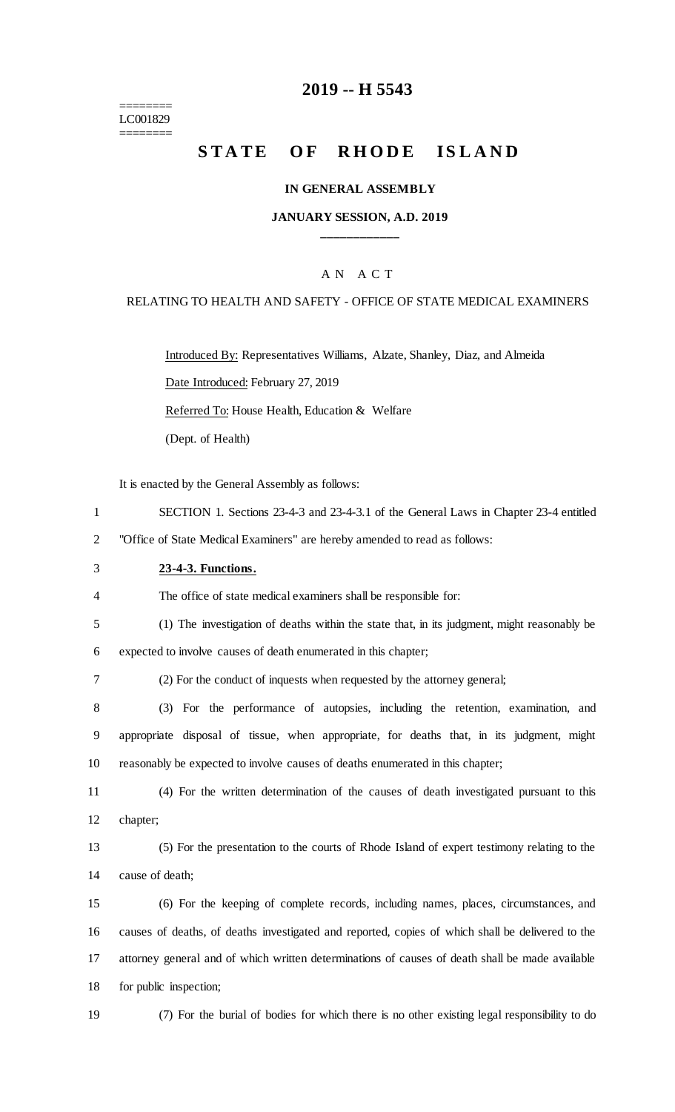======== LC001829 ========

### **2019 -- H 5543**

# **STATE OF RHODE ISLAND**

### **IN GENERAL ASSEMBLY**

### **JANUARY SESSION, A.D. 2019 \_\_\_\_\_\_\_\_\_\_\_\_**

### A N A C T

#### RELATING TO HEALTH AND SAFETY - OFFICE OF STATE MEDICAL EXAMINERS

Introduced By: Representatives Williams, Alzate, Shanley, Diaz, and Almeida

Date Introduced: February 27, 2019

Referred To: House Health, Education & Welfare

(Dept. of Health)

It is enacted by the General Assembly as follows:

|  |  | SECTION 1. Sections 23-4-3 and 23-4-3.1 of the General Laws in Chapter 23-4 entitled |  |  |  |
|--|--|--------------------------------------------------------------------------------------|--|--|--|
|  |  |                                                                                      |  |  |  |

2 "Office of State Medical Examiners" are hereby amended to read as follows:

### 3 **23-4-3. Functions.**

4 The office of state medical examiners shall be responsible for:

5 (1) The investigation of deaths within the state that, in its judgment, might reasonably be

6 expected to involve causes of death enumerated in this chapter;

7 (2) For the conduct of inquests when requested by the attorney general;

8 (3) For the performance of autopsies, including the retention, examination, and 9 appropriate disposal of tissue, when appropriate, for deaths that, in its judgment, might 10 reasonably be expected to involve causes of deaths enumerated in this chapter;

11 (4) For the written determination of the causes of death investigated pursuant to this 12 chapter;

13 (5) For the presentation to the courts of Rhode Island of expert testimony relating to the 14 cause of death;

 (6) For the keeping of complete records, including names, places, circumstances, and causes of deaths, of deaths investigated and reported, copies of which shall be delivered to the attorney general and of which written determinations of causes of death shall be made available for public inspection;

19 (7) For the burial of bodies for which there is no other existing legal responsibility to do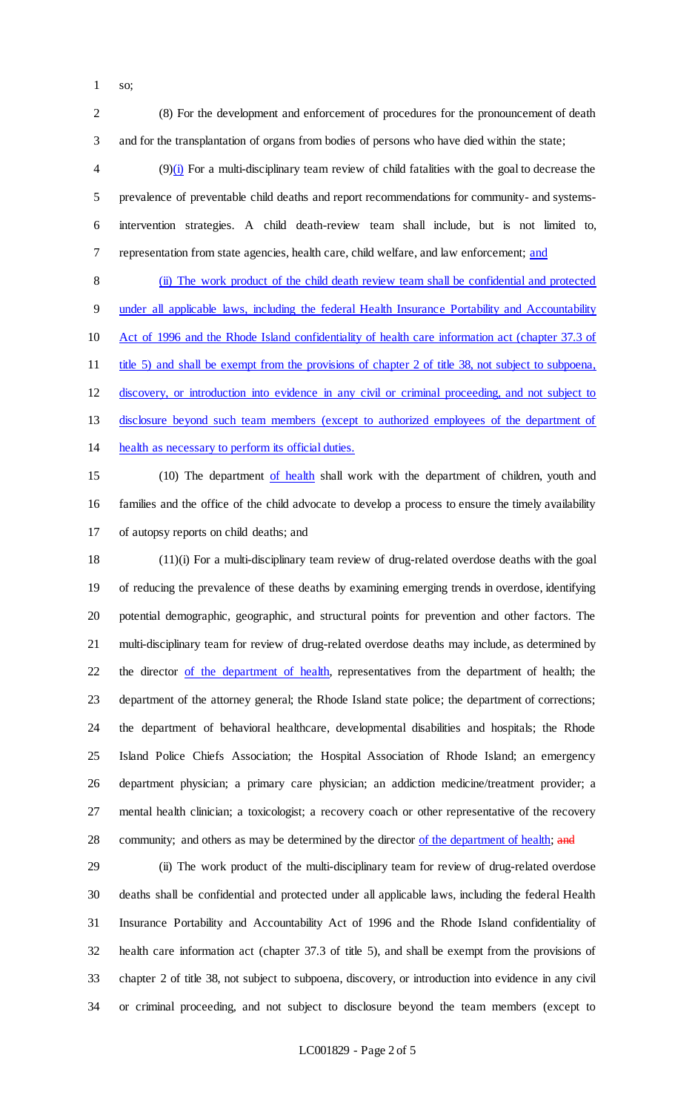so;

 (8) For the development and enforcement of procedures for the pronouncement of death and for the transplantation of organs from bodies of persons who have died within the state;

 (9)(i) For a multi-disciplinary team review of child fatalities with the goal to decrease the prevalence of preventable child deaths and report recommendations for community- and systems- intervention strategies. A child death-review team shall include, but is not limited to, representation from state agencies, health care, child welfare, and law enforcement; and

 (ii) The work product of the child death review team shall be confidential and protected under all applicable laws, including the federal Health Insurance Portability and Accountability Act of 1996 and the Rhode Island confidentiality of health care information act (chapter 37.3 of title 5) and shall be exempt from the provisions of chapter 2 of title 38, not subject to subpoena, discovery, or introduction into evidence in any civil or criminal proceeding, and not subject to disclosure beyond such team members (except to authorized employees of the department of health as necessary to perform its official duties.

 (10) The department of health shall work with the department of children, youth and families and the office of the child advocate to develop a process to ensure the timely availability of autopsy reports on child deaths; and

 (11)(i) For a multi-disciplinary team review of drug-related overdose deaths with the goal of reducing the prevalence of these deaths by examining emerging trends in overdose, identifying potential demographic, geographic, and structural points for prevention and other factors. The multi-disciplinary team for review of drug-related overdose deaths may include, as determined by 22 the director of the department of health, representatives from the department of health; the department of the attorney general; the Rhode Island state police; the department of corrections; the department of behavioral healthcare, developmental disabilities and hospitals; the Rhode Island Police Chiefs Association; the Hospital Association of Rhode Island; an emergency department physician; a primary care physician; an addiction medicine/treatment provider; a mental health clinician; a toxicologist; a recovery coach or other representative of the recovery 28 community; and others as may be determined by the director of the department of health; and

 (ii) The work product of the multi-disciplinary team for review of drug-related overdose deaths shall be confidential and protected under all applicable laws, including the federal Health Insurance Portability and Accountability Act of 1996 and the Rhode Island confidentiality of health care information act (chapter 37.3 of title 5), and shall be exempt from the provisions of chapter 2 of title 38, not subject to subpoena, discovery, or introduction into evidence in any civil or criminal proceeding, and not subject to disclosure beyond the team members (except to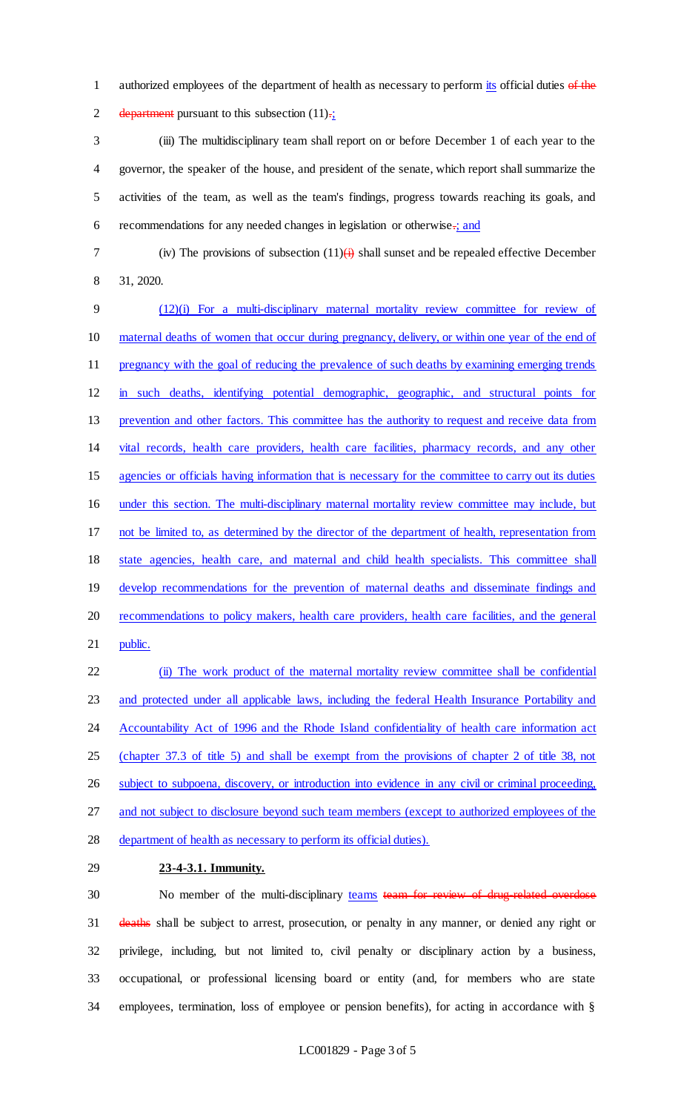1 authorized employees of the department of health as necessary to perform its official duties of the 2 department pursuant to this subsection  $(11)$ .;

 (iii) The multidisciplinary team shall report on or before December 1 of each year to the governor, the speaker of the house, and president of the senate, which report shall summarize the activities of the team, as well as the team's findings, progress towards reaching its goals, and 6 recommendations for any needed changes in legislation or otherwise $\pm$ ; and

7 (iv) The provisions of subsection  $(11)(i)$  shall sunset and be repealed effective December

31, 2020.

 (12)(i) For a multi-disciplinary maternal mortality review committee for review of maternal deaths of women that occur during pregnancy, delivery, or within one year of the end of pregnancy with the goal of reducing the prevalence of such deaths by examining emerging trends in such deaths, identifying potential demographic, geographic, and structural points for prevention and other factors. This committee has the authority to request and receive data from vital records, health care providers, health care facilities, pharmacy records, and any other agencies or officials having information that is necessary for the committee to carry out its duties under this section. The multi-disciplinary maternal mortality review committee may include, but not be limited to, as determined by the director of the department of health, representation from state agencies, health care, and maternal and child health specialists. This committee shall 19 develop recommendations for the prevention of maternal deaths and disseminate findings and recommendations to policy makers, health care providers, health care facilities, and the general 21 public. (ii) The work product of the maternal mortality review committee shall be confidential and protected under all applicable laws, including the federal Health Insurance Portability and

24 Accountability Act of 1996 and the Rhode Island confidentiality of health care information act

(chapter 37.3 of title 5) and shall be exempt from the provisions of chapter 2 of title 38, not

26 subject to subpoena, discovery, or introduction into evidence in any civil or criminal proceeding,

27 and not subject to disclosure beyond such team members (except to authorized employees of the

- department of health as necessary to perform its official duties).
- **23-4-3.1. Immunity.**

30 No member of the multi-disciplinary teams team for review of drug-related overdose 31 deaths shall be subject to arrest, prosecution, or penalty in any manner, or denied any right or privilege, including, but not limited to, civil penalty or disciplinary action by a business, occupational, or professional licensing board or entity (and, for members who are state employees, termination, loss of employee or pension benefits), for acting in accordance with §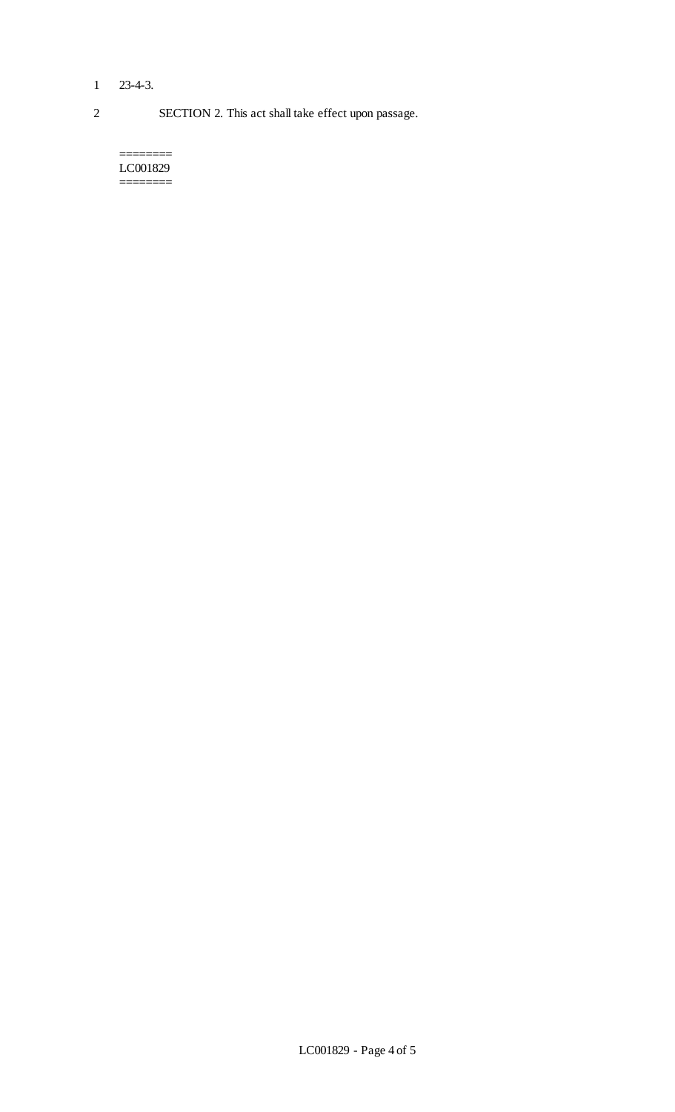# 1 23-4-3.

2 SECTION 2. This act shall take effect upon passage.

======== LC001829  $=$